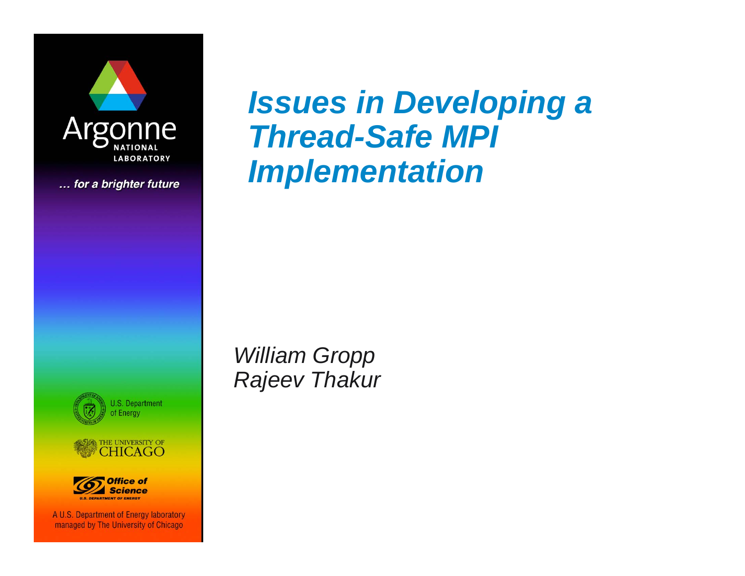

... for a brighter future







A U.S. Department of Energy laboratory managed by The University of Chicago

### *Issues in Developing a Thread-Safe MPI Implementation*

*William Gropp Rajeev Thakur*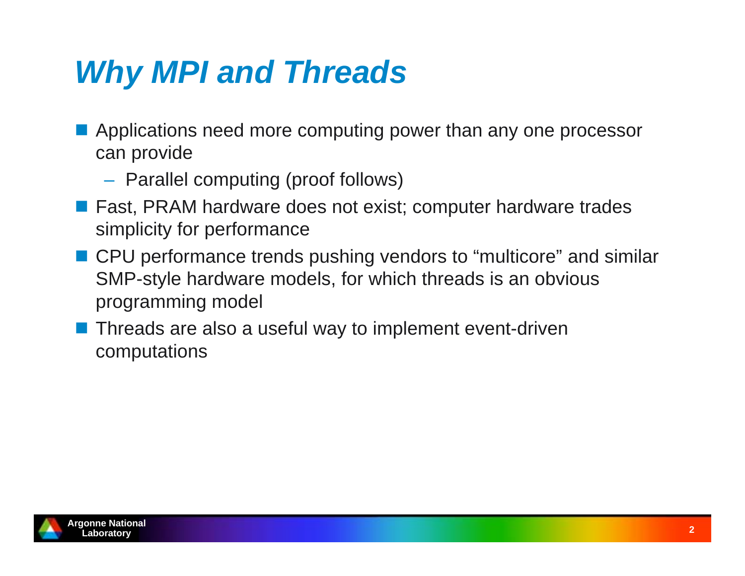### *Why MPI and Threads*

- **Applications need more computing power than any one processor** can provide
	- Parallel computing (proof follows)
- Fast, PRAM hardware does not exist; computer hardware trades simplicity for performance
- CPU performance trends pushing vendors to "multicore" and similar SMP-style hardware models, for which threads is an obvious programming model
- **Threads are also a useful way to implement event-driven** computations

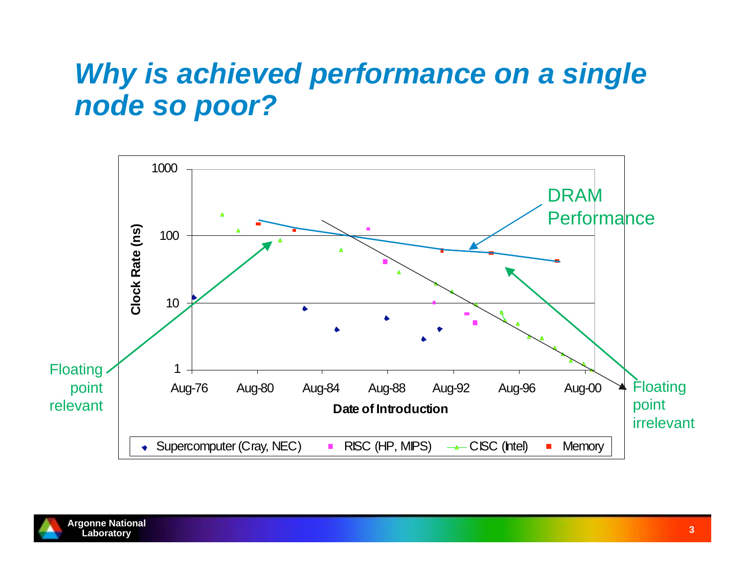### *Why is achieved performance on a single node so poor?*



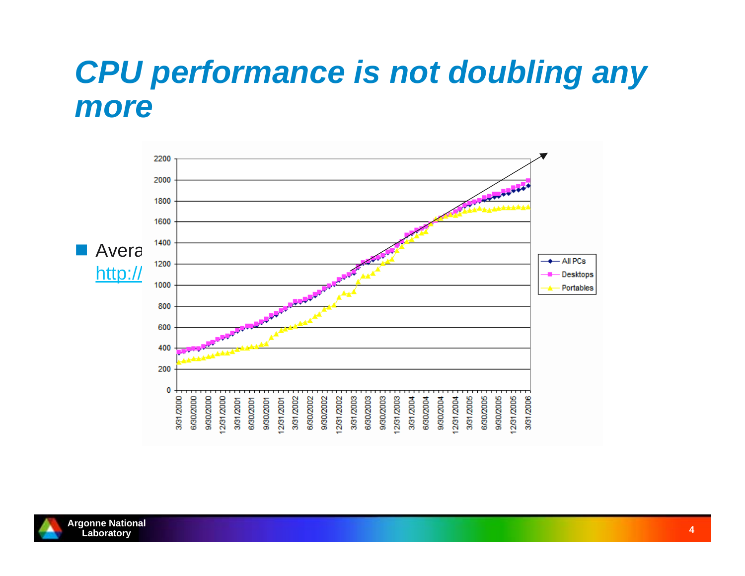### *CPU performance is not doubling any more*



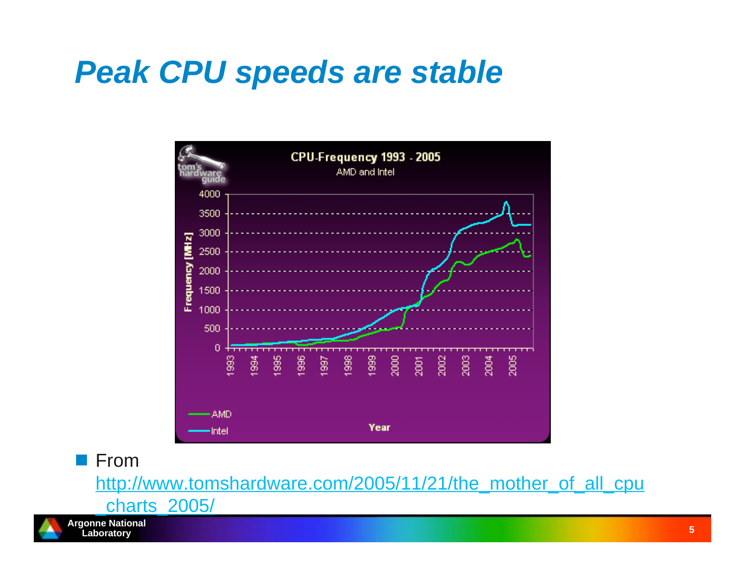### *Peak CPU speeds are stable*



**From** 

http://www.tomshardware.com/2005/11/21/the\_mother\_of\_all\_cpu



\_charts\_2005/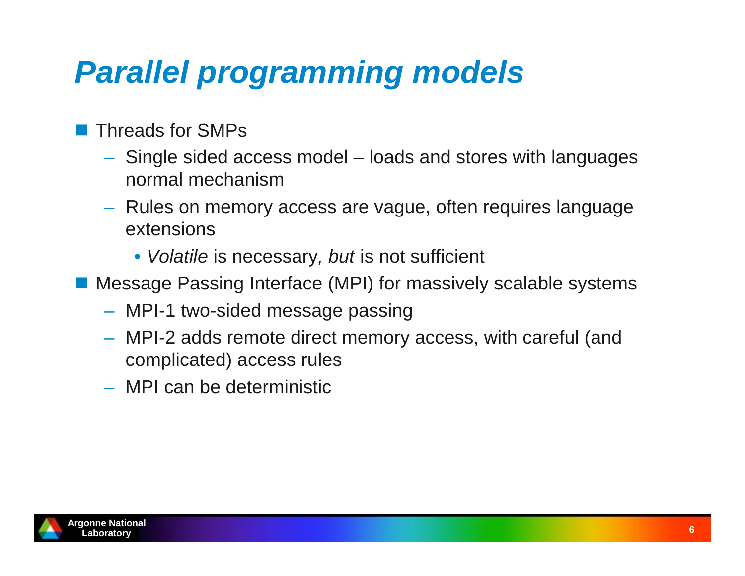# *Parallel programming models*

- Threads for SMPs
	- Single sided access model loads and stores with languages normal mechanism
	- Rules on memory access are vague, often requires language extensions
		- *Volatile* is necessary*, but* is not sufficient
- Message Passing Interface (MPI) for massively scalable systems
	- MPI-1 two-sided message passing
	- MPI-2 adds remote direct memory access, with careful (and complicated) access rules
	- MPI can be deterministic

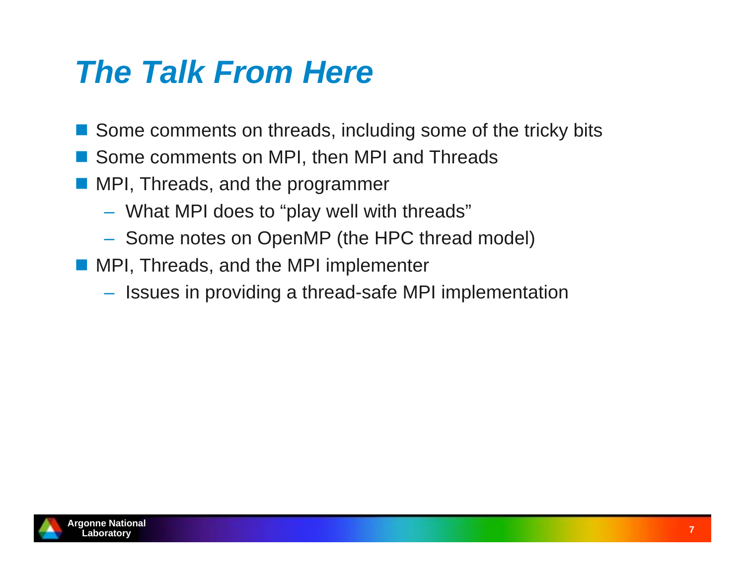### *The Talk From Here*

- Some comments on threads, including some of the tricky bits
- Some comments on MPI, then MPI and Threads
- **MPI, Threads, and the programmer** 
	- What MPI does to "play well with threads"
	- $-$  Some notes on OpenMP (the HPC thread model)
- **MPI, Threads, and the MPI implementer** 
	- $-$  Issues in providing a thread-safe MPI implementation

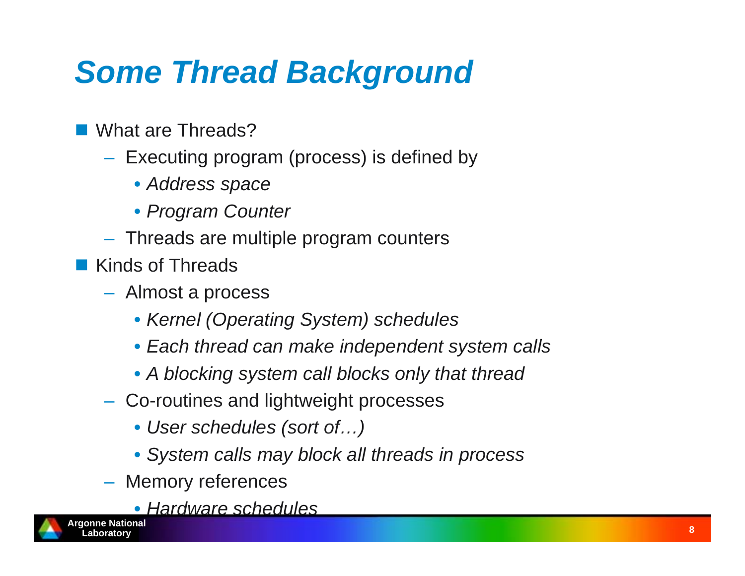# *Some Thread Background*

- What are Threads?
	- $-$  Executing program (process) is defined by
		- *Address space*
		- *Program Counter*
	- Threads are multiple program counters
- Kinds of Threads
	- Almost a process
		- *Kernel (Operating System) schedules*
		- *Each thread can make independent system calls*
		- *A blocking system call blocks only that thread*
	- Co-routines and lightweight processes
		- *User schedules (sort of…)*
		- *System calls may block all threads in process*
	- Memory references
		- *Hardware schedules*

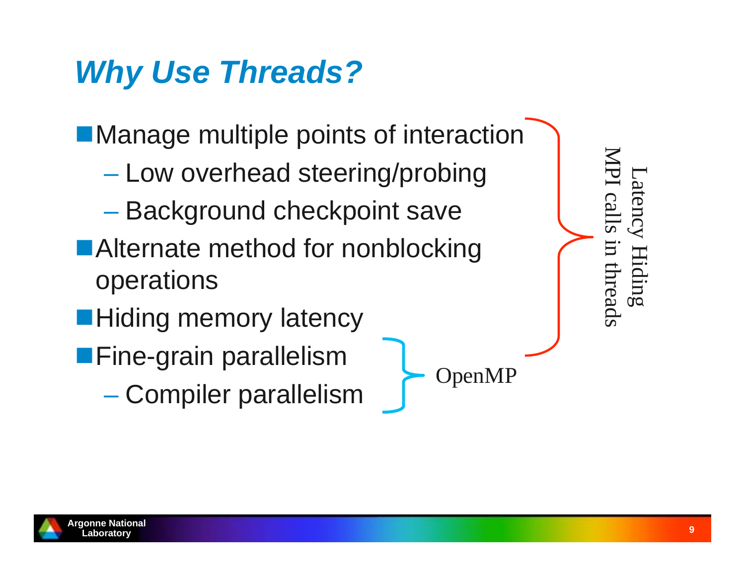# *Why Use Threads?*

**Manage multiple points of interaction** 

- Low overhead steering/probing
- Background checkpoint save
- ■Alternate method for nonblocking operations
- **Hiding memory latency**
- **Fine-grain parallelism** 
	- Compiler parallelism

MPI calls in threads Latency Hiding atency Hiding I calls in threads

OpenMP

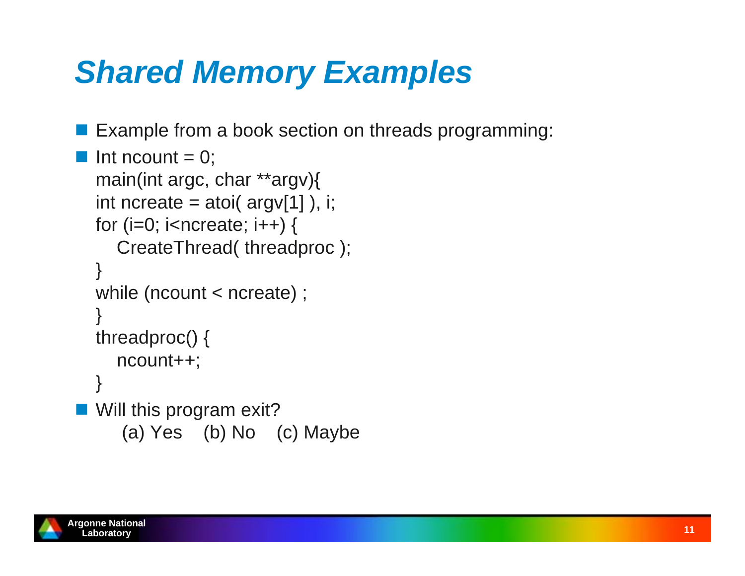# *Shared Memory Examples*

**Example from a book section on threads programming:** 

```
Int ncount = 0;
  main(int argc, char **argv){
  int ncreate = atoi( argv[1] ), i;
  for (i=0; i<sub>enc</sub>reet); (i++1) {
      CreateThread( threadproc );
  }
  while (ncount < ncreate) ;
  }
  threadproc() {
      ncount++;
  }
■ Will this program exit?
       (a) Yes (b) No (c) Maybe
```
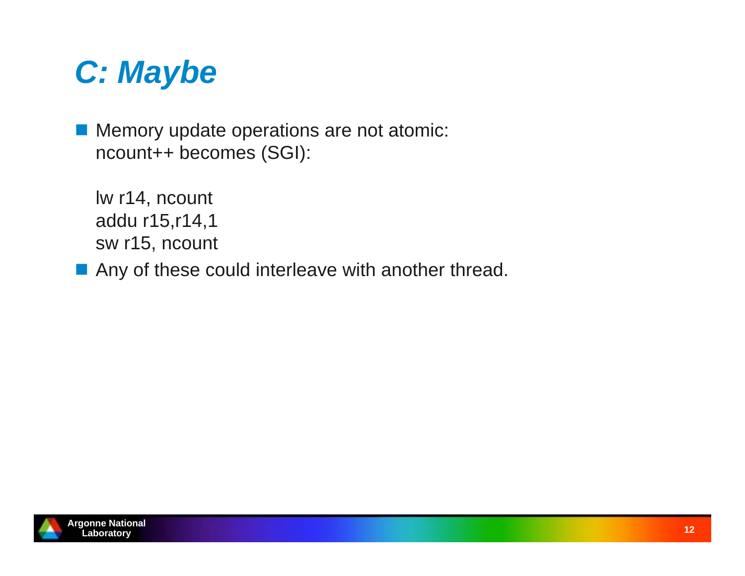

**Memory update operations are not atomic:** ncount++ becomes (SGI):

lw r14, ncount addu r15,r14,1 sw r15, ncount

**Any of these could interleave with another thread.** 

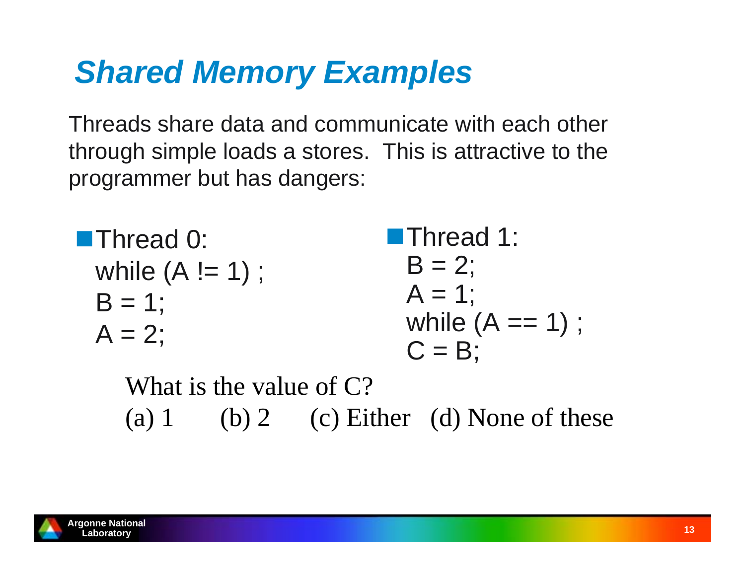### *Shared Memory Examples*

Threads share data and communicate with each other through simple loads a stores. This is attractive to the programmer but has dangers:

| $\blacksquare$ Thread 0: | <b>Thread 1:</b>   |
|--------------------------|--------------------|
| while $(A != 1)$ ;       | $B = 2$ ;          |
| $B = 1$ ;                | $A = 1$ ;          |
|                          | while $(A == 1)$ ; |
| $A = 2$ ;                | $C = B$ ;          |

What is the value of  $C$ ? (a) 1 (b) 2 (c) Either (d) None of these

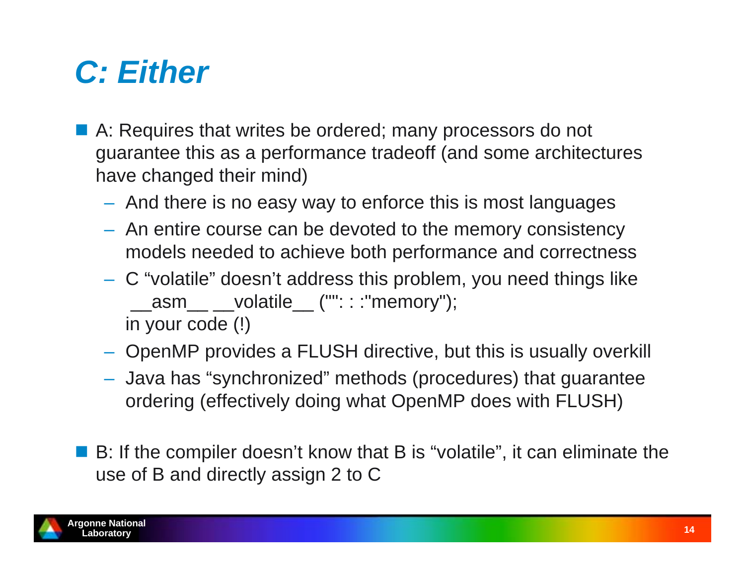### *C: Either*

- A: Requires that writes be ordered; many processors do not guarantee this as a performance tradeoff (and some architectures have changed their mind)
	- $-$  And there is no easy way to enforce this is most languages
	- $-$  An entire course can be devoted to the memory consistency models needed to achieve both performance and correctness
	- C "volatile" doesn't address this problem, you need things like \_\_asm\_\_ \_\_volatile\_\_ ("": : :"memory"); in your code (!)
	- OpenMP provides a FLUSH directive, but this is usually overkill
	- Java has "synchronized" methods (procedures) that guarantee ordering (effectively doing what OpenMP does with FLUSH)
- B: If the compiler doesn't know that B is "volatile", it can eliminate the use of B and directly assign 2 to C

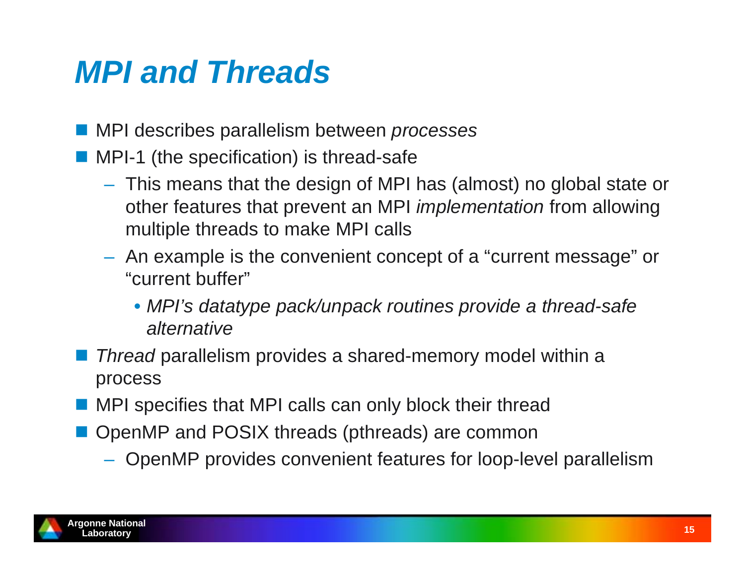### *MPI and Threads*

- MPI describes parallelism between *processes*
- **MPI-1** (the specification) is thread-safe
	- This means that the design of MPI has (almost) no global state or other features that prevent an MPI *implementation* from allowing multiple threads to make MPI calls
	- $-$  An example is the convenient concept of a "current message" or "current buffer"
		- *MPI's datatype pack/unpack routines provide a thread-safe alternative*
- *Thread* parallelism provides a shared-memory model within a process
- **NPI** specifies that MPI calls can only block their thread
- **OpenMP and POSIX threads (pthreads) are common** 
	- OpenMP provides convenient features for loop-level parallelism

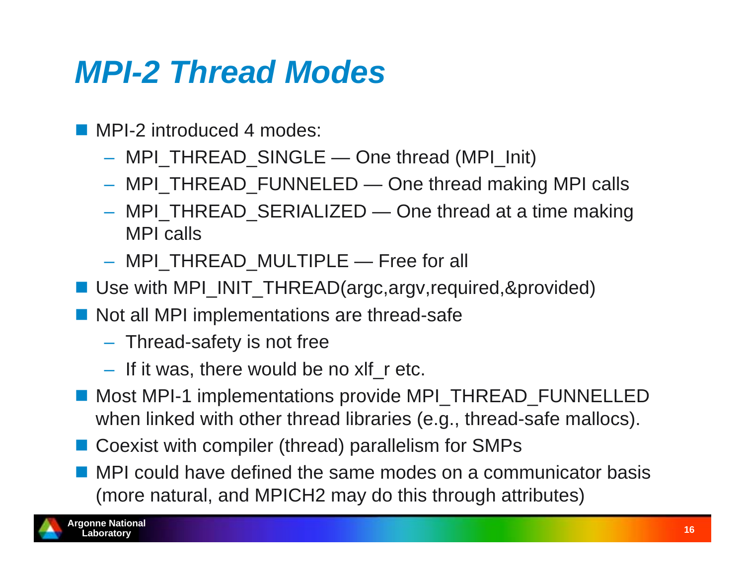### *MPI-2 Thread Modes*

- MPI-2 introduced 4 modes:
	- MPI\_THREAD\_SINGLE One thread (MPI\_Init)
	- MPI\_THREAD\_FUNNELED One thread making MPI calls
	- MPI\_THREAD\_SERIALIZED One thread at a time making MPI calls
	- MPI\_THREAD\_MULTIPLE Free for all
- Use with MPI\_INIT\_THREAD(argc,argv,required,&provided)
- Not all MPI implementations are thread-safe
	- $-$  Thread-safety is not free
	- If it was, there would be no xlf\_r etc.
- Most MPI-1 implementations provide MPI\_THREAD\_FUNNELLED when linked with other thread libraries (e.g., thread-safe mallocs).
- Coexist with compiler (thread) parallelism for SMPs
- **MPI** could have defined the same modes on a communicator basis (more natural, and MPICH2 may do this through attributes)

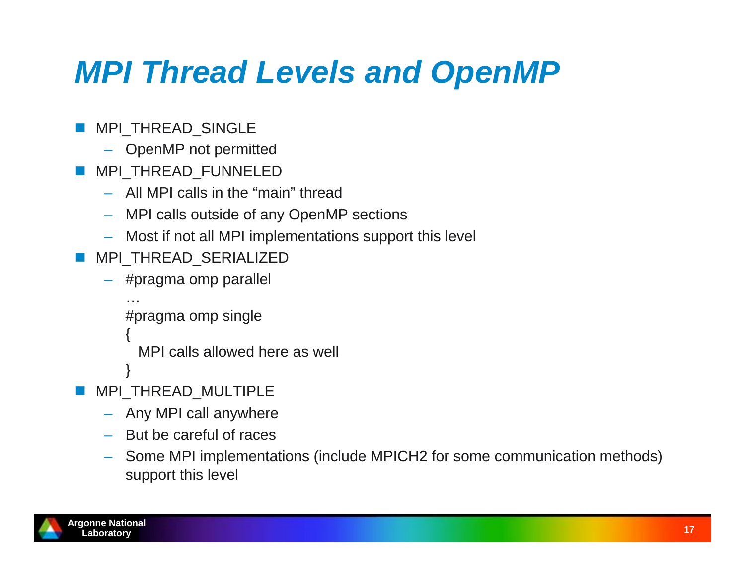# *MPI Thread Levels and OpenMP*

- **MPI\_THREAD\_SINGLE** 
	- OpenMP not permitted
- F. MPI THREAD FUNNELED
	- All MPI calls in the "main" thread
	- MPI calls outside of any OpenMP sections
	- Most if not all MPI implementations support this level
- **MPI\_THREAD\_SERIALIZED** 
	- #pragma omp parallel

```
#pragma omp single
```

```
{
```
}

…

MPI calls allowed here as well

- F MPI\_THREAD\_MULTIPLE
	- Any MPI call anywhere
	- But be careful of races
	- – Some MPI implementations (include MPICH2 for some communication methods) support this level

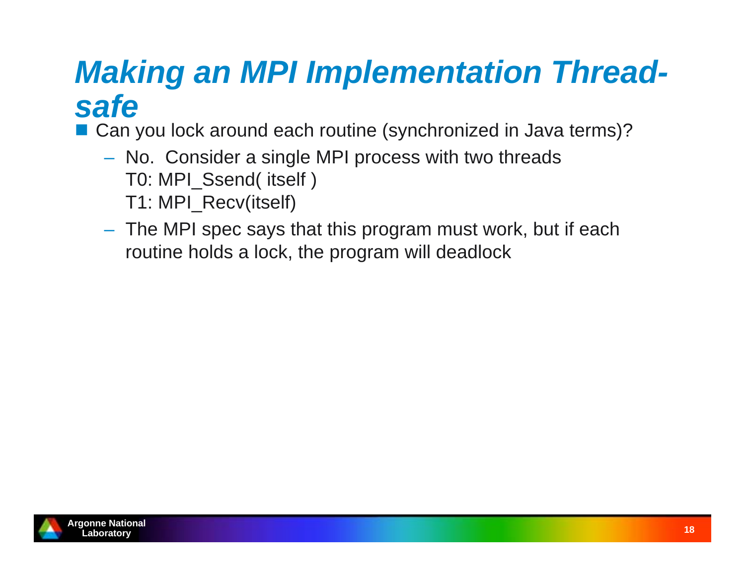### *Making an MPI Implementation Threadsafe*

■ Can you lock around each routine (synchronized in Java terms)?

- No. Consider a single MPI process with two threads T0: MPI\_Ssend( itself ) T1: MPI\_Recv(itself)
- The MPI spec says that this program must work, but if each routine holds a lock, the program will deadlock

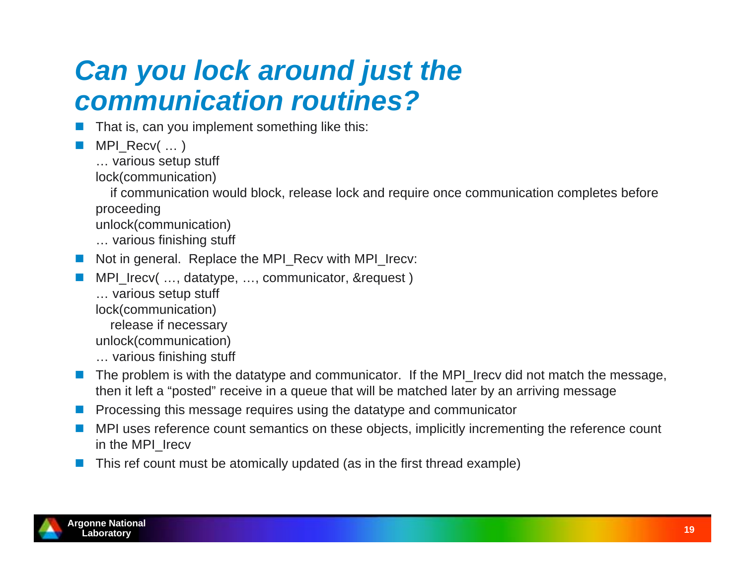### *Can you lock around just the communication routines?*

- $\overline{\phantom{a}}$ That is, can you implement something like this:
- $\overline{\phantom{a}}$ MPI\_Recv( ... )
	- … various setup stuff
	- lock(communication)

 if communication would block, release lock and require once communication completes before proceeding

- unlock(communication)
- … various finishing stuff
- Not in general. Replace the MPI\_Recv with MPI\_Irecv:
- $\overline{\phantom{a}}$ MPI Irecv( ..., datatype, ..., communicator, &request )
	- … various setup stuff
	- lock(communication)
		- release if necessary
	- unlock(communication)
	- … various finishing stuff
- The problem is with the datatype and communicator. If the MPI\_Irecv did not match the message, then it left a "posted" receive in a queue that will be matched later by an arriving message
- $\mathbb{R}^n$ Processing this message requires using the datatype and communicator
- $\mathcal{F}^{\mathcal{A}}$  MPI uses reference count semantics on these objects, implicitly incrementing the reference count in the MPI\_Irecv
- $\overline{\phantom{a}}$ This ref count must be atomically updated (as in the first thread example)

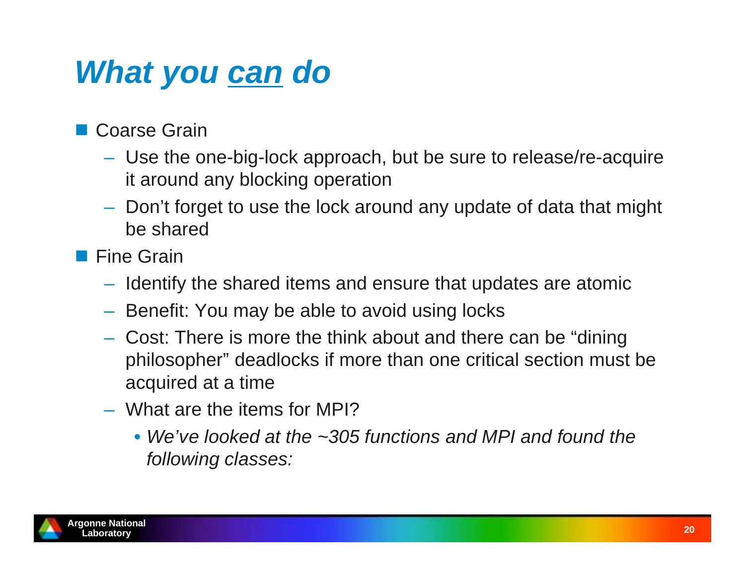### *What you can do*

■ Coarse Grain

- Use the one-big-lock approach, but be sure to release/re-acquire it around any blocking operation
- Don't forget to use the lock around any update of data that might be shared
- **Fine Grain** 
	- $-$  Identify the shared items and ensure that updates are atomic
	- $-$  Benefit: You may be able to avoid using locks
	- Cost: There is more the think about and there can be "dining philosopher" deadlocks if more than one critical section must be acquired at a time
	- What are the items for MPI?
		- *We've looked at the ~305 functions and MPI and found the following classes:*

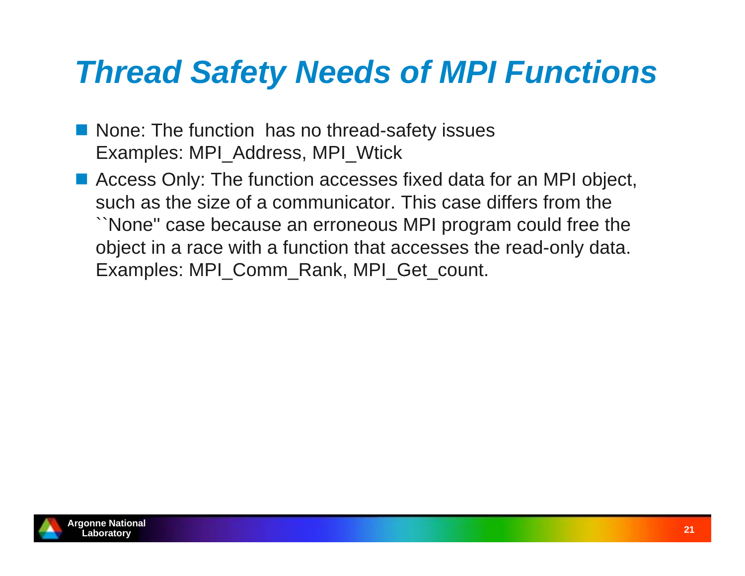- None: The function has no thread-safety issues Examples: MPI\_Address, MPI\_Wtick
- Access Only: The function accesses fixed data for an MPI object, such as the size of a communicator. This case differs from the ``None'' case because an erroneous MPI program could free the object in a race with a function that accesses the read-only data. Examples: MPI\_Comm\_Rank, MPI\_Get\_count.

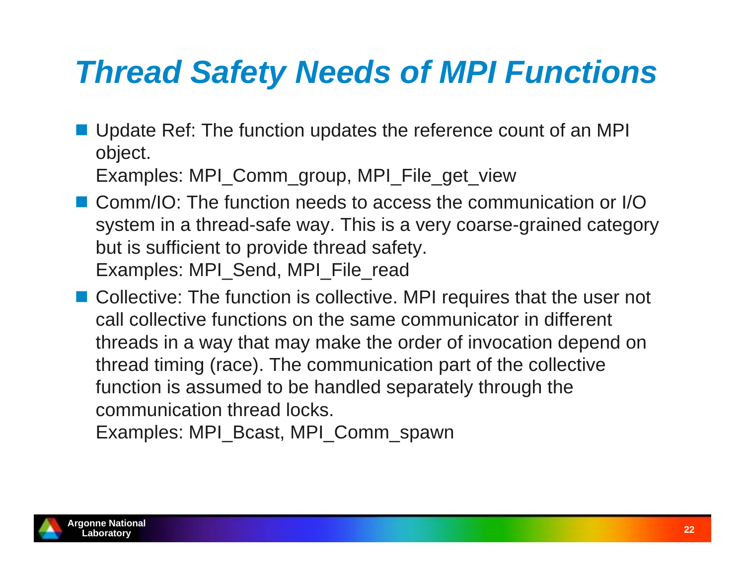**Update Ref: The function updates the reference count of an MPI** object.

Examples: MPI\_Comm\_group, MPI\_File\_get\_view

- Comm/IO: The function needs to access the communication or I/O system in a thread-safe way. This is a very coarse-grained category but is sufficient to provide thread safety. Examples: MPI\_Send, MPI\_File\_read
- Collective: The function is collective. MPI requires that the user not call collective functions on the same communicator in different threads in a way that may make the order of invocation depend on thread timing (race). The communication part of the collective function is assumed to be handled separately through the communication thread locks.

Examples: MPI\_Bcast, MPI\_Comm\_spawn

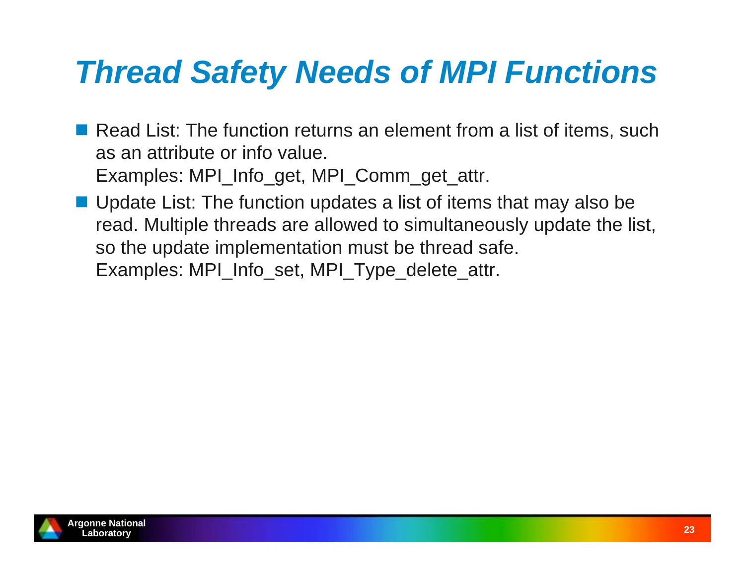- Read List: The function returns an element from a list of items, such as an attribute or info value. Examples: MPI\_Info\_get, MPI\_Comm\_get\_attr.
- Update List: The function updates a list of items that may also be read. Multiple threads are allowed to simultaneously update the list, so the update implementation must be thread safe. Examples: MPI\_Info\_set, MPI\_Type\_delete\_attr.

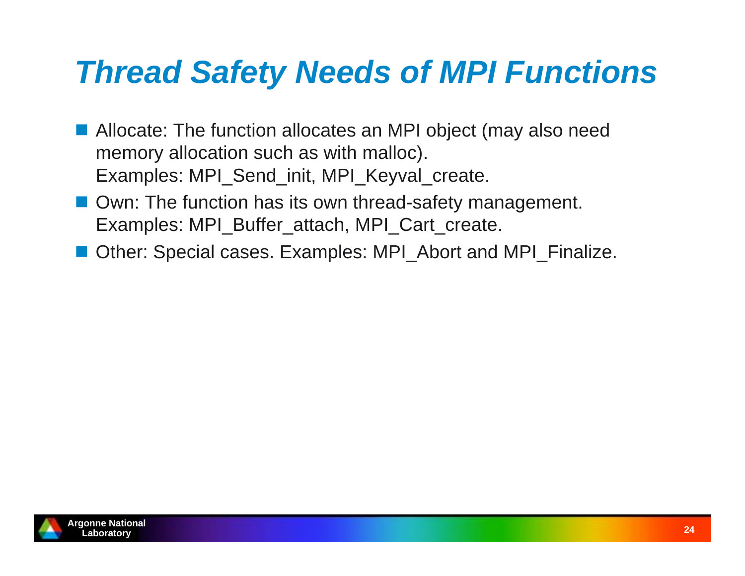- **Allocate: The function allocates an MPI object (may also need** memory allocation such as with malloc). Examples: MPI\_Send\_init, MPI\_Keyval\_create.
- Own: The function has its own thread-safety management. Examples: MPI\_Buffer\_attach, MPI\_Cart\_create.
- Other: Special cases. Examples: MPI\_Abort and MPI\_Finalize.

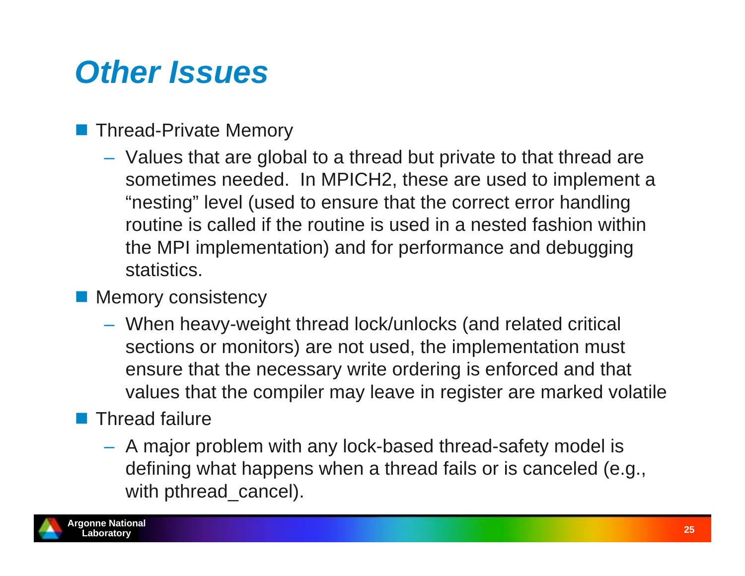### *Other Issues*

#### Thread-Private Memory

 Values that are global to a thread but private to that thread are sometimes needed. In MPICH2, these are used to implement a "nesting" level (used to ensure that the correct error handling routine is called if the routine is used in a nested fashion within the MPI implementation) and for performance and debugging statistics.

#### **Memory consistency**

 When heavy-weight thread lock/unlocks (and related critical sections or monitors) are not used, the implementation must ensure that the necessary write ordering is enforced and that values that the compiler may leave in register are marked volatile

### **Thread failure**

 A major problem with any lock-based thread-safety model is defining what happens when a thread fails or is canceled (e.g., with pthread\_cancel).

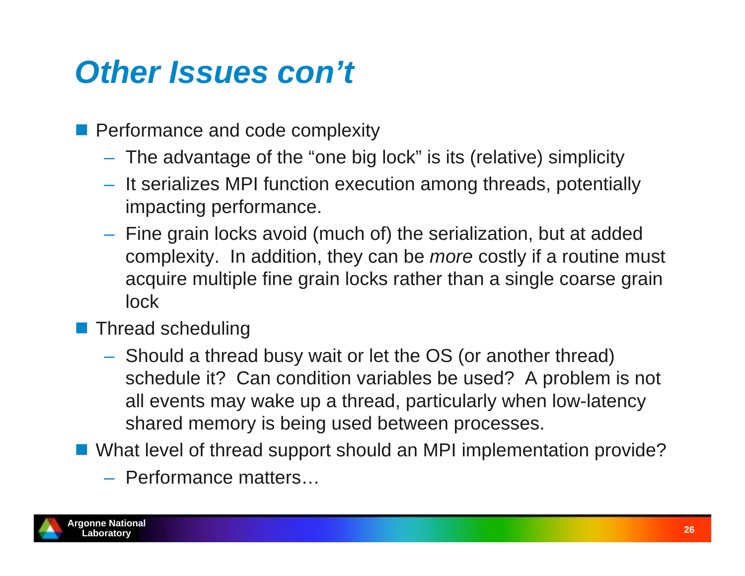### *Other Issues con't*

- **Performance and code complexity** 
	- The advantage of the "one big lock" is its (relative) simplicity
	- $-$  It serializes MPI function execution among threads, potentially impacting performance.
	- $-$  Fine grain locks avoid (much of) the serialization, but at added complexity. In addition, they can be *more* costly if a routine must acquire multiple fine grain locks rather than a single coarse grain lock
- **Thread scheduling** 
	- Should a thread busy wait or let the OS (or another thread) schedule it? Can condition variables be used? A problem is not all events may wake up a thread, particularly when low-latency shared memory is being used between processes.
- What level of thread support should an MPI implementation provide?
	- Performance matters…

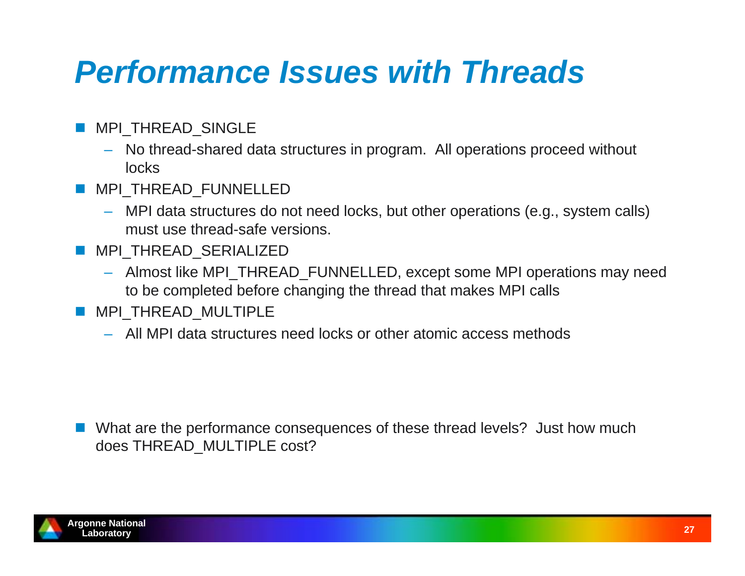### *Performance Issues with Threads*

- **MPI\_THREAD\_SINGLE** 
	- No thread-shared data structures in program. All operations proceed without locks
- MPI\_THREAD\_FUNNELLED
	- MPI data structures do not need locks, but other operations (e.g., system calls) must use thread-safe versions.
- **MPI\_THREAD\_SERIALIZED** 
	- Almost like MPI\_THREAD\_FUNNELLED, except some MPI operations may need to be completed before changing the thread that makes MPI calls
- **MPI\_THREAD\_MULTIPLE** 
	- All MPI data structures need locks or other atomic access methods

 What are the performance consequences of these thread levels? Just how much does THREAD\_MULTIPLE cost?

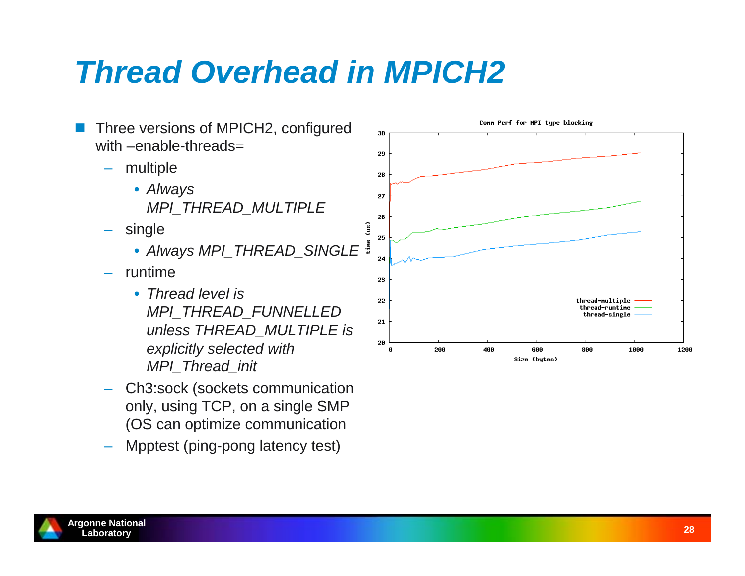### *Thread Overhead in MPICH2*



- Ch3:sock (sockets communication only, using TCP, on a single SMP (OS can optimize communication
- Mpptest (ping-pong latency test)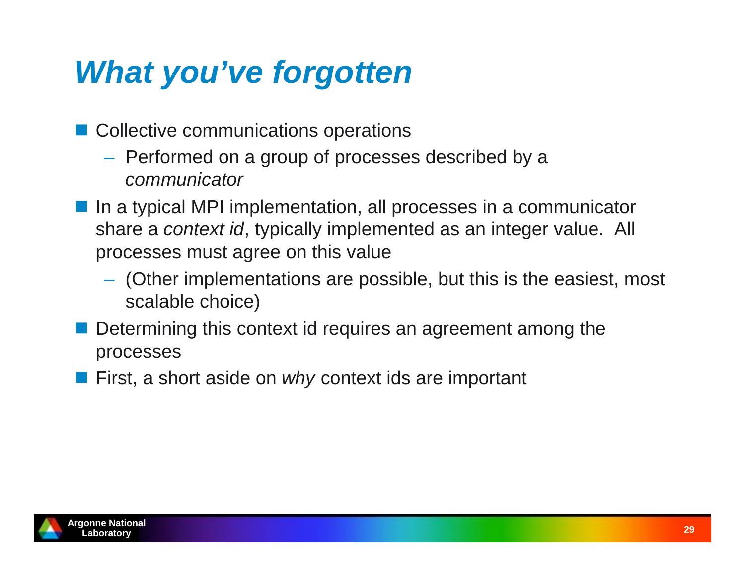### *What you've forgotten*

- Collective communications operations
	- $-$  Performed on a group of processes described by a *communicator*
- In a typical MPI implementation, all processes in a communicator share a *context id*, typically implemented as an integer value. All processes must agree on this value
	- $-$  (Other implementations are possible, but this is the easiest, most scalable choice)
- **Service Service**  Determining this context id requires an agreement among the processes
- **First, a short aside on** *why* **context ids are important**

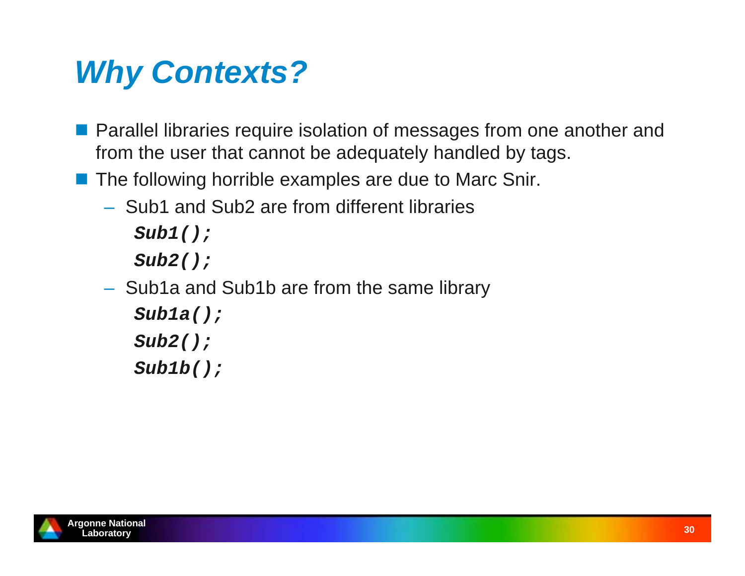### *Why Contexts?*

- **Parallel libraries require isolation of messages from one another and** from the user that cannot be adequately handled by tags.
- **The following horrible examples are due to Marc Snir.** 
	- Sub1 and Sub2 are from different libraries

*Sub1();*

*Sub2();*

 $-$  Sub1a and Sub1b are from the same library

```
Sub1a();
```
*Sub2();*

*Sub1b();*

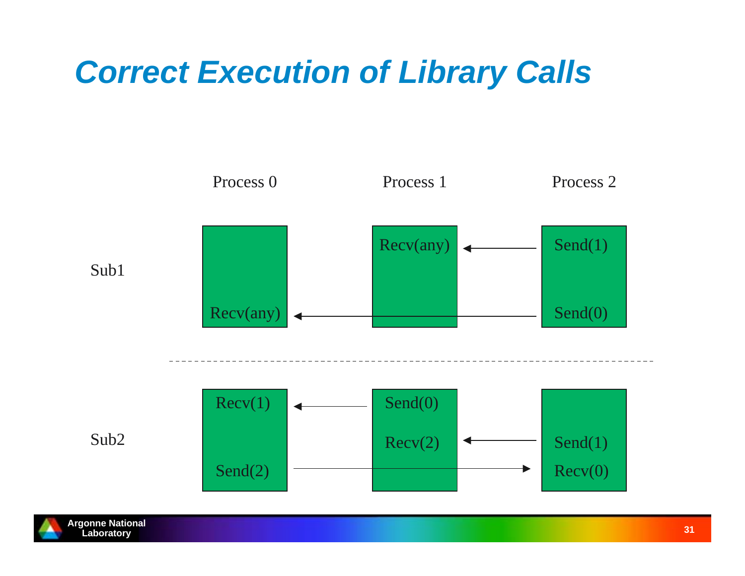## *Correct Execution of Library Calls*



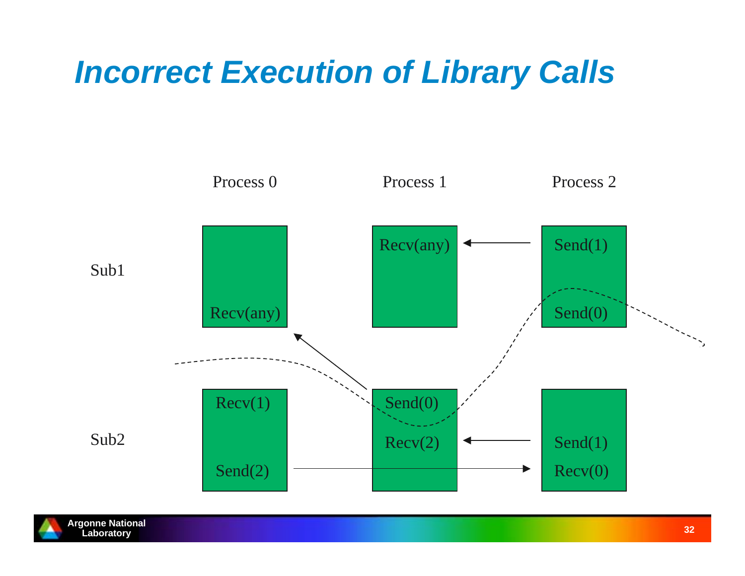## *Incorrect Execution of Library Calls*



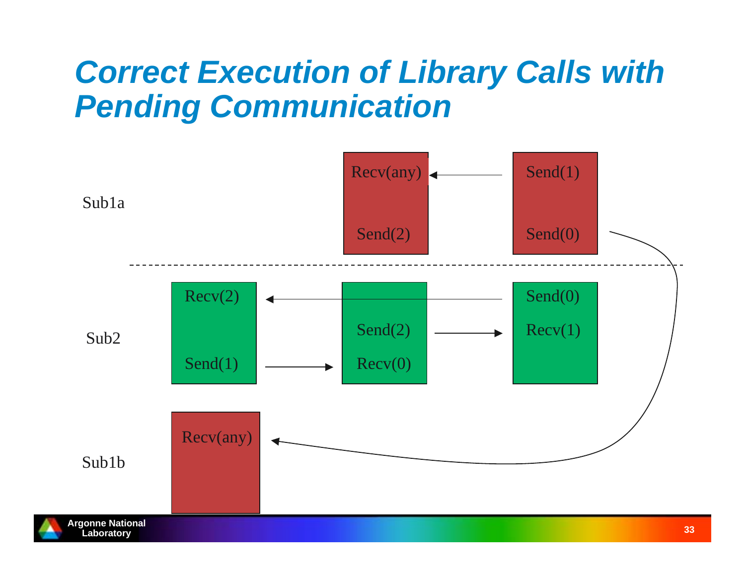### *Correct Execution of Library Calls with Pending Communication*

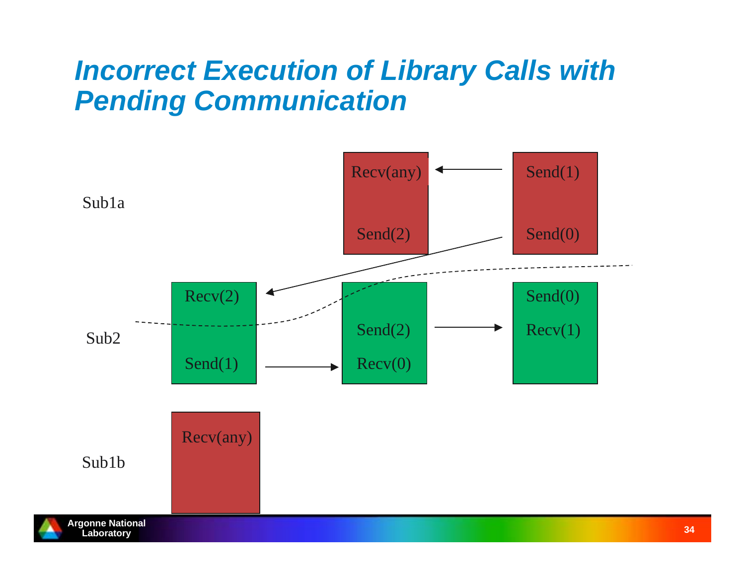### *Incorrect Execution of Library Calls with Pending Communication*

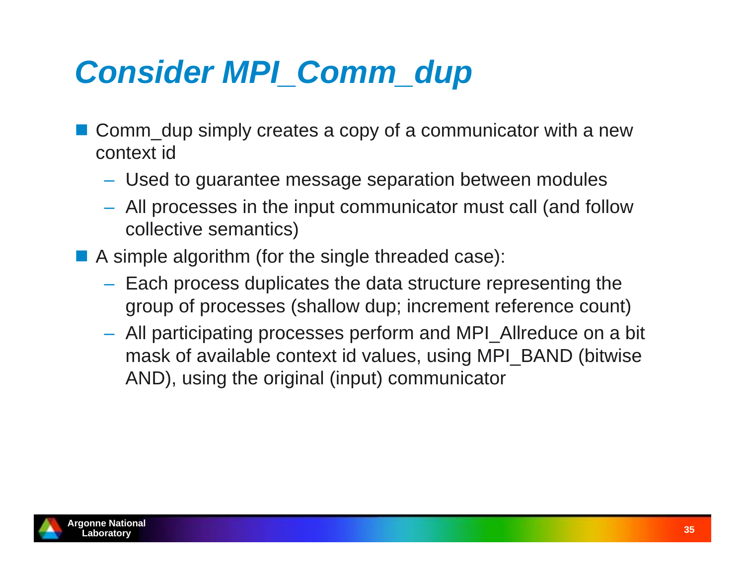# *Consider MPI\_Comm\_dup*

- Comm\_dup simply creates a copy of a communicator with a new context id
	- Used to guarantee message separation between modules
	- All processes in the input communicator must call (and follow collective semantics)
- **A** simple algorithm (for the single threaded case):
	- $-$  Each process duplicates the data structure representing the group of processes (shallow dup; increment reference count)
	- All participating processes perform and MPI\_Allreduce on a bit mask of available context id values, using MPI\_BAND (bitwise AND), using the original (input) communicator

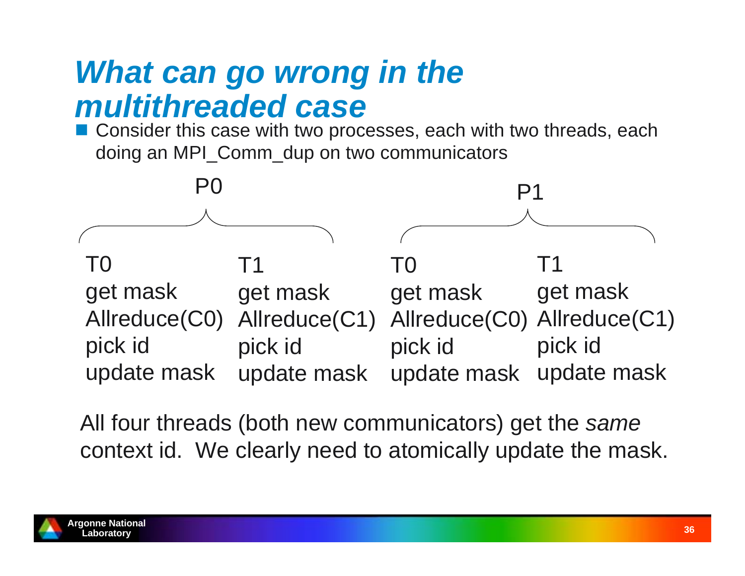### *What can go wrong in the multithreaded case*

■ Consider this case with two processes, each with two threads, each doing an MPI\_Comm\_dup on two communicators



All four threads (both new communicators) get the *same* context id. We clearly need to atomically update the mask.

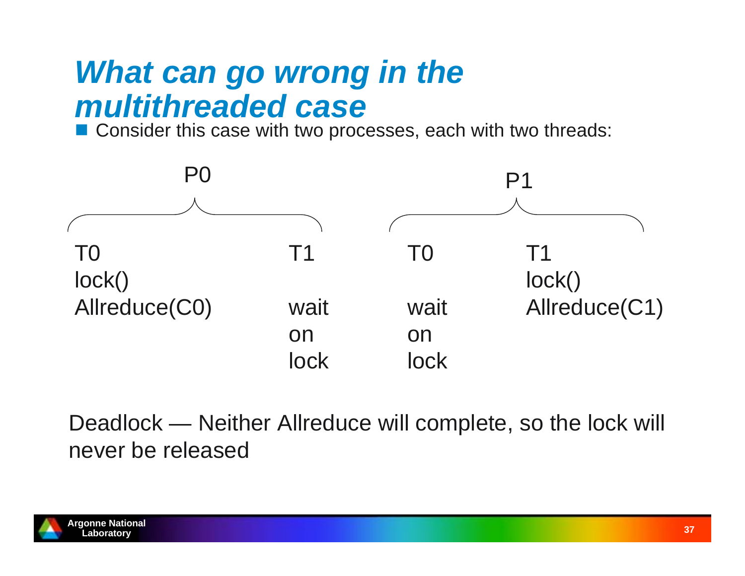### *What can go wrong in the multithreaded case*

■ Consider this case with two processes, each with two threads:



Deadlock — Neither Allreduce will complete, so the lock will never be released

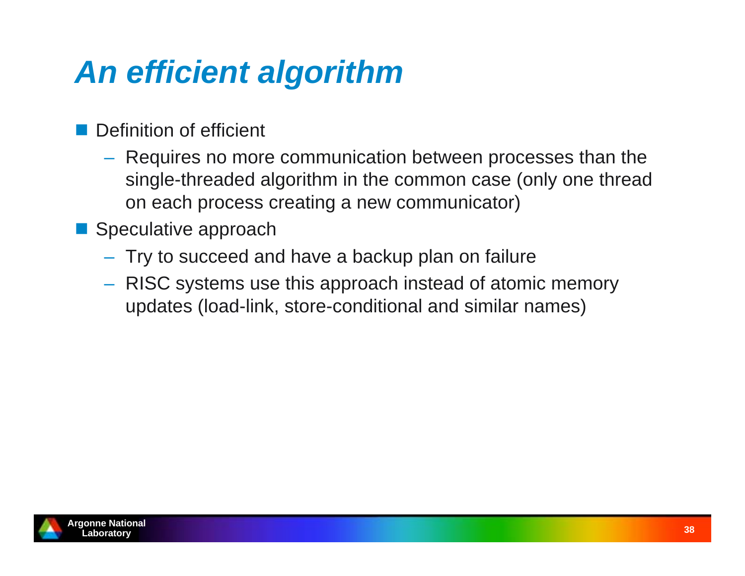# *An efficient algorithm*

- Definition of efficient
	- Requires no more communication between processes than the single-threaded algorithm in the common case (only one thread on each process creating a new communicator)
- Speculative approach
	- $-$  Try to succeed and have a backup plan on failure
	- RISC systems use this approach instead of atomic memory updates (load-link, store-conditional and similar names)

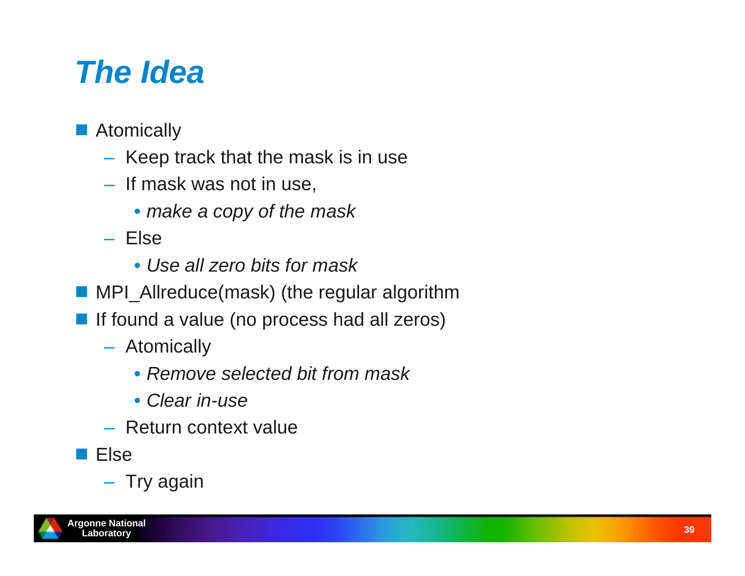### *The Idea*

- **Atomically** 
	- $-$  Keep track that the mask is in use
	- If mask was not in use,
		- *make a copy of the mask*
	- Else
		- *Use all zero bits for mask*
- MPI\_Allreduce(mask) (the regular algorithm
- **If found a value (no process had all zeros)** 
	- Atomically
		- *Remove selected bit from mask*
		- *Clear in-use*
	- Return context value
- **Else**

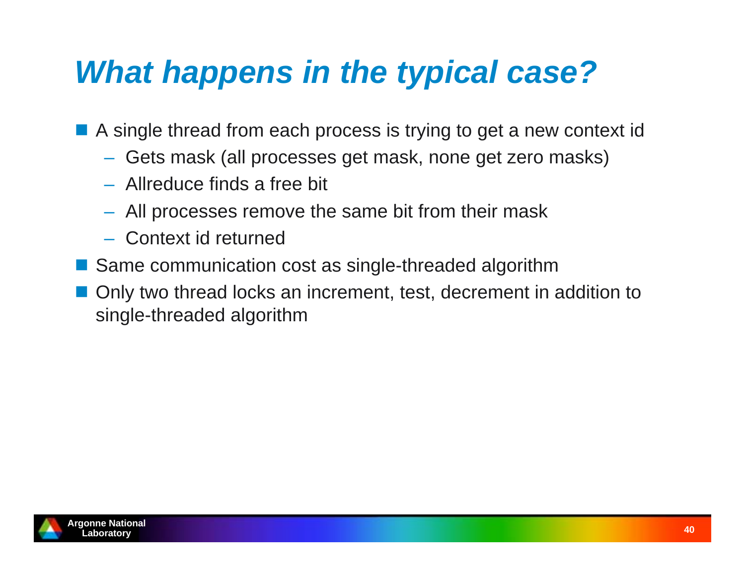### *What happens in the typical case?*

■ A single thread from each process is trying to get a new context id

- Gets mask (all processes get mask, none get zero masks)
- Allreduce finds a free bit
- All processes remove the same bit from their mask
- Context id returned
- Same communication cost as single-threaded algorithm
- Only two thread locks an increment, test, decrement in addition to single-threaded algorithm

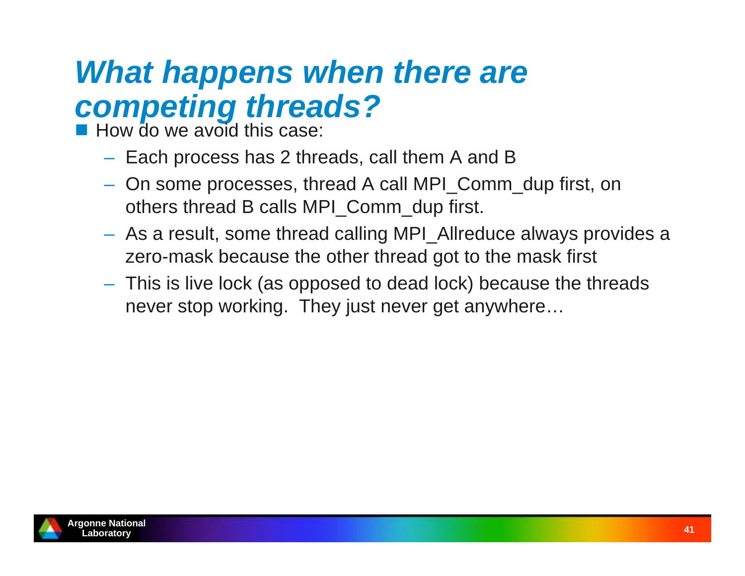### *What happens when there are competing threads?*

**How do we avoid this case:** 

- $-$  Each process has 2 threads, call them A and B
- On some processes, thread A call MPI\_Comm\_dup first, on others thread B calls MPI\_Comm\_dup first.
- As a result, some thread calling MPI\_Allreduce always provides a zero-mask because the other thread got to the mask first
- This is live lock (as opposed to dead lock) because the threads never stop working. They just never get anywhere…

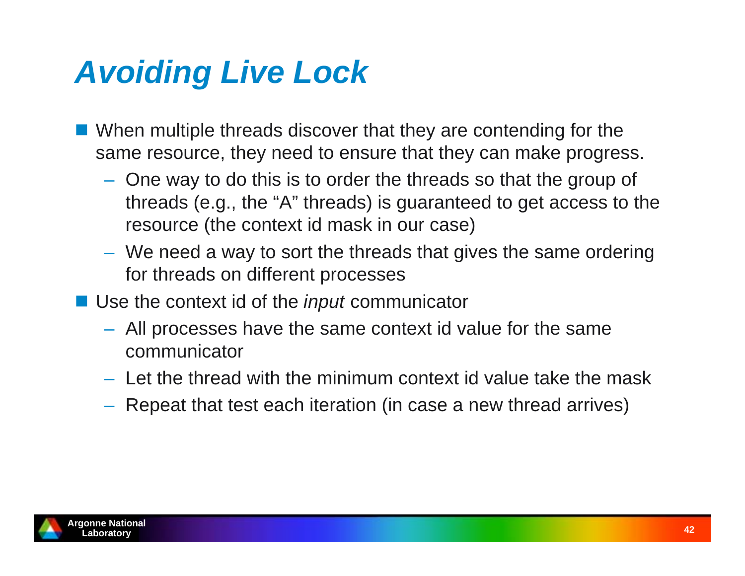# *Avoiding Live Lock*

- **Notally 10 When multiple threads discover that they are contending for the** same resource, they need to ensure that they can make progress.
	- One way to do this is to order the threads so that the group of threads (e.g., the "A" threads) is guaranteed to get access to the resource (the context id mask in our case)
	- We need a way to sort the threads that gives the same ordering for threads on different processes
- Use the context id of the *input* communicator
	- All processes have the same context id value for the same communicator
	- Let the thread with the minimum context id value take the mask
	- $-$  Repeat that test each iteration (in case a new thread arrives)

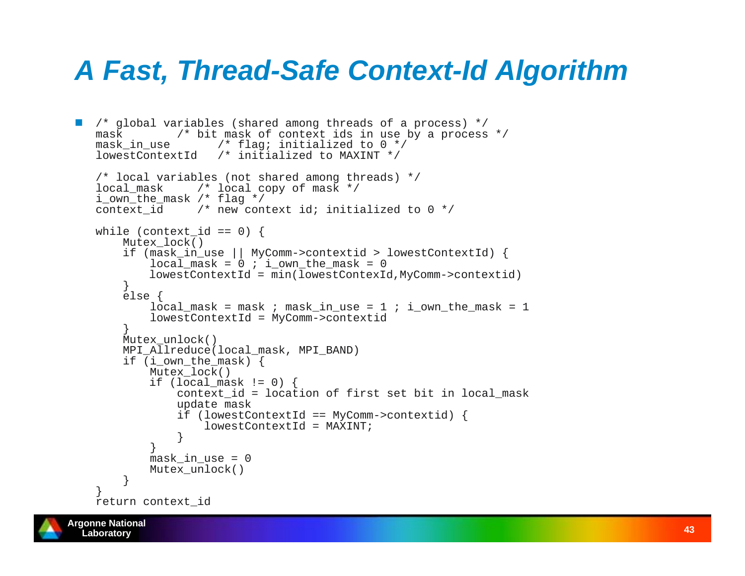### *A Fast, Thread-Safe Context-Id Algorithm*

```
 /* global variables (shared among threads of a process) */
  mask /* bit mask of context ids in use by a process */
  mask in use /* flag; initialized to 0 */
  lowestContextId /* initialized to MAXINT */
  /* local variables (not shared among threads) */
  local mask /* local copy of mask */
  i_own_the_mask /* flag */
  context id /* new context id; initialized to 0 */while (context id == 0) {
       Mutex_lock()
       if (mask_in_use || MyComm->contextid > lowestContextId) {
          local mask = 0 ; i own the mask = 0
           lowestContextId = min(lowestContexId,MyComm->contextid)
       } else {
          local mask = mask ; mask in use = 1 ; i own the mask = 1
           lowestContextId = MyComm->contextid
    }
       Mutex_unlock()
      MPI_Allreduce(local_mask, MPI_BAND)
      if (i own the mask) {
           Mutex_lock()
          if (localmask != 0) {
               context_id = location of first set bit in local_mask
               update mask
               if (lowestContextId == MyComm->contextid) {
                   lowestContextId = MAXINT;
    } }
          mask in use = 0 Mutex_unlock()
    } }
  return context_id
```